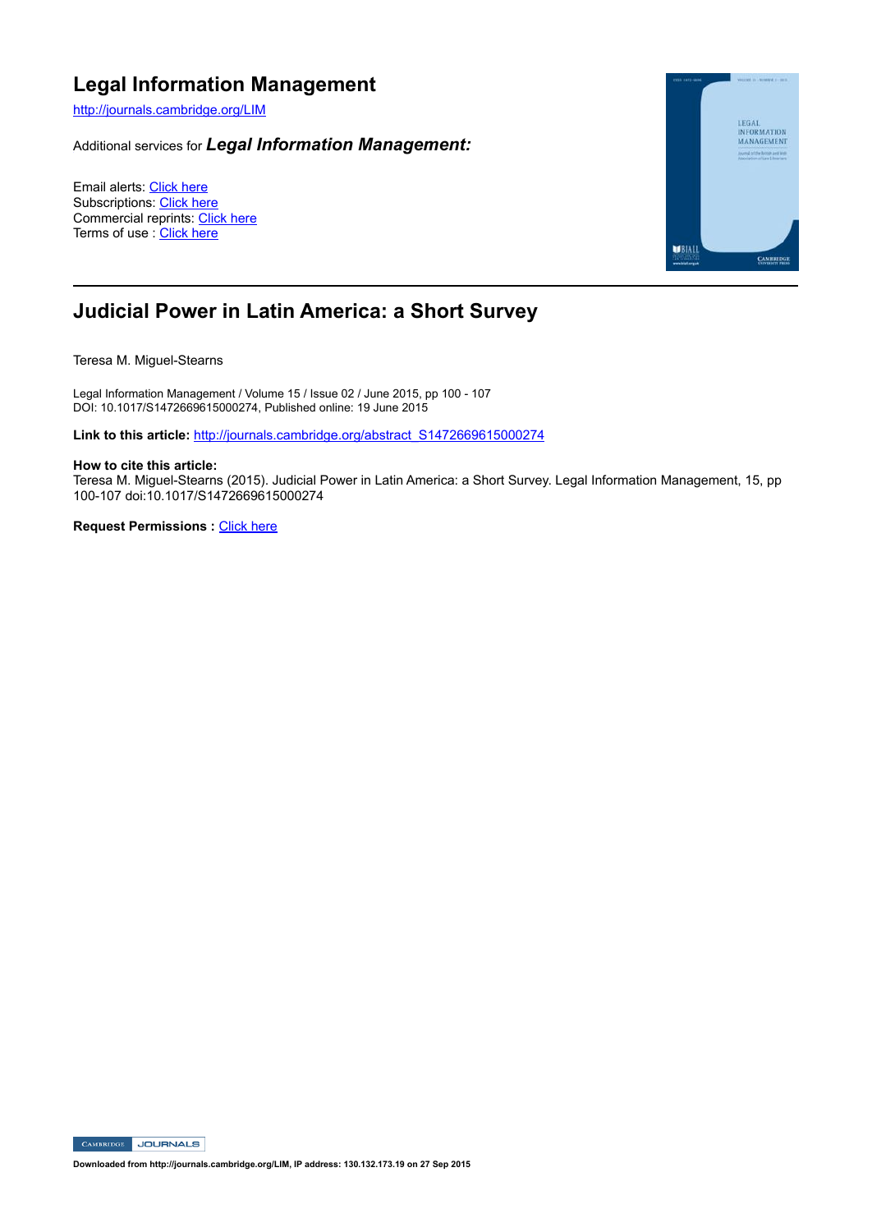# **Legal Information Management**

http://journals.cambridge.org/LIM

Additional services for *Legal Information Management:*

Email alerts: Click here Subscriptions: Click here Commercial reprints: Click here Terms of use : Click here



# **Judicial Power in Latin America: a Short Survey**

Teresa M. Miguel-Stearns

Legal Information Management / Volume 15 / Issue 02 / June 2015, pp 100 - 107 DOI: 10.1017/S1472669615000274, Published online: 19 June 2015

Link to this article: http://journals.cambridge.org/abstract\_S1472669615000274

#### **How to cite this article:**

Teresa M. Miguel-Stearns (2015). Judicial Power in Latin America: a Short Survey. Legal Information Management, 15, pp 100-107 doi:10.1017/S1472669615000274

**Request Permissions : Click here** 

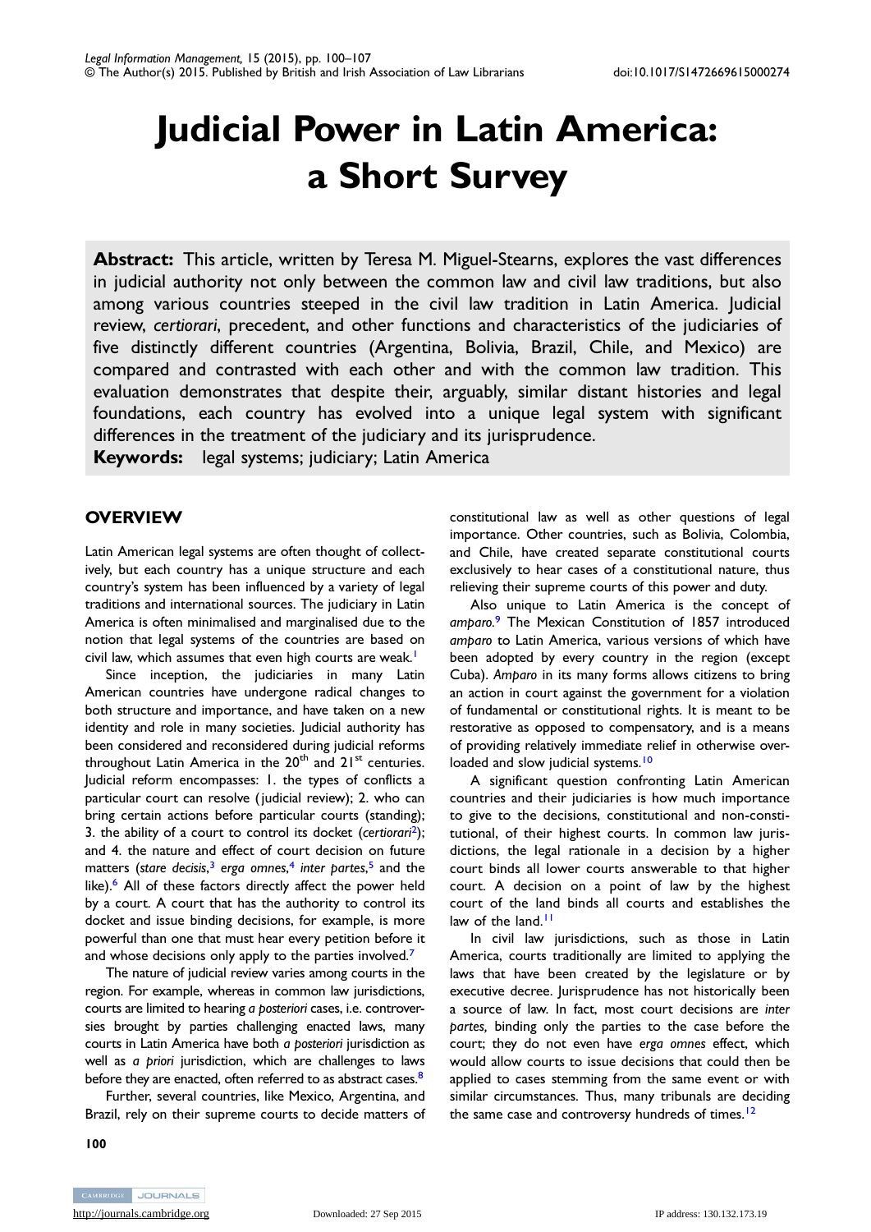# Judicial Power in Latin America: a Short Survey

Abstract: This article, written by Teresa M. Miguel-Stearns, explores the vast differences in judicial authority not only between the common law and civil law traditions, but also among various countries steeped in the civil law tradition in Latin America. Judicial review, certiorari, precedent, and other functions and characteristics of the judiciaries of five distinctly different countries (Argentina, Bolivia, Brazil, Chile, and Mexico) are compared and contrasted with each other and with the common law tradition. This evaluation demonstrates that despite their, arguably, similar distant histories and legal foundations, each country has evolved into a unique legal system with significant differences in the treatment of the judiciary and its jurisprudence.

Keywords: legal systems; judiciary; Latin America

## **OVERVIEW**

Latin American legal systems are often thought of collectively, but each country has a unique structure and each country's system has been influenced by a variety of legal traditions and international sources. The judiciary in Latin America is often minimalised and marginalised due to the notion that legal systems of the countries are based on civil law, which assumes that even high courts are weak.<sup>1</sup>

Since inception, the judiciaries in many Latin American countries have undergone radical changes to both structure and importance, and have taken on a new identity and role in many societies. Judicial authority has been considered and reconsidered during judicial reforms throughout Latin America in the  $20<sup>th</sup>$  and  $21<sup>st</sup>$  centuries. Judicial reform encompasses: 1. the types of conflicts a particular court can resolve ( judicial review); 2. who can bring certain actions before particular courts (standing); 3. the ability of a court to control its docket (certiorari<sup>[2](#page-6-0)</sup>); and 4. the nature and effect of court decision on future matters (stare decisis,<sup>[3](#page-6-0)</sup> erga omnes,<sup>[4](#page-6-0)</sup> inter partes,<sup>[5](#page-6-0)</sup> and the like).<sup>[6](#page-6-0)</sup> All of these factors directly affect the power held by a court. A court that has the authority to control its docket and issue binding decisions, for example, is more powerful than one that must hear every petition before it and whose decisions only apply to the parties involved. $<sup>7</sup>$  $<sup>7</sup>$  $<sup>7</sup>$ </sup>

The nature of judicial review varies among courts in the region. For example, whereas in common law jurisdictions, courts are limited to hearing a posteriori cases, i.e. controversies brought by parties challenging enacted laws, many courts in Latin America have both a posteriori jurisdiction as well as a priori jurisdiction, which are challenges to laws before they are enacted, often referred to as abstract cases.<sup>[8](#page-6-0)</sup>

Further, several countries, like Mexico, Argentina, and Brazil, rely on their supreme courts to decide matters of constitutional law as well as other questions of legal importance. Other countries, such as Bolivia, Colombia, and Chile, have created separate constitutional courts exclusively to hear cases of a constitutional nature, thus relieving their supreme courts of this power and duty.

Also unique to Latin America is the concept of amparo.<sup>[9](#page-6-0)</sup> The Mexican Constitution of 1857 introduced amparo to Latin America, various versions of which have been adopted by every country in the region (except Cuba). Amparo in its many forms allows citizens to bring an action in court against the government for a violation of fundamental or constitutional rights. It is meant to be restorative as opposed to compensatory, and is a means of providing relatively immediate relief in otherwise over-loaded and slow judicial systems.<sup>[10](#page-6-0)</sup>

A significant question confronting Latin American countries and their judiciaries is how much importance to give to the decisions, constitutional and non-constitutional, of their highest courts. In common law jurisdictions, the legal rationale in a decision by a higher court binds all lower courts answerable to that higher court. A decision on a point of law by the highest court of the land binds all courts and establishes the law of the land.<sup>[11](#page-6-0)</sup>

In civil law jurisdictions, such as those in Latin America, courts traditionally are limited to applying the laws that have been created by the legislature or by executive decree. Jurisprudence has not historically been a source of law. In fact, most court decisions are inter partes, binding only the parties to the case before the court; they do not even have erga omnes effect, which would allow courts to issue decisions that could then be applied to cases stemming from the same event or with similar circumstances. Thus, many tribunals are deciding the same case and controversy hundreds of times.<sup>[12](#page-6-0)</sup>

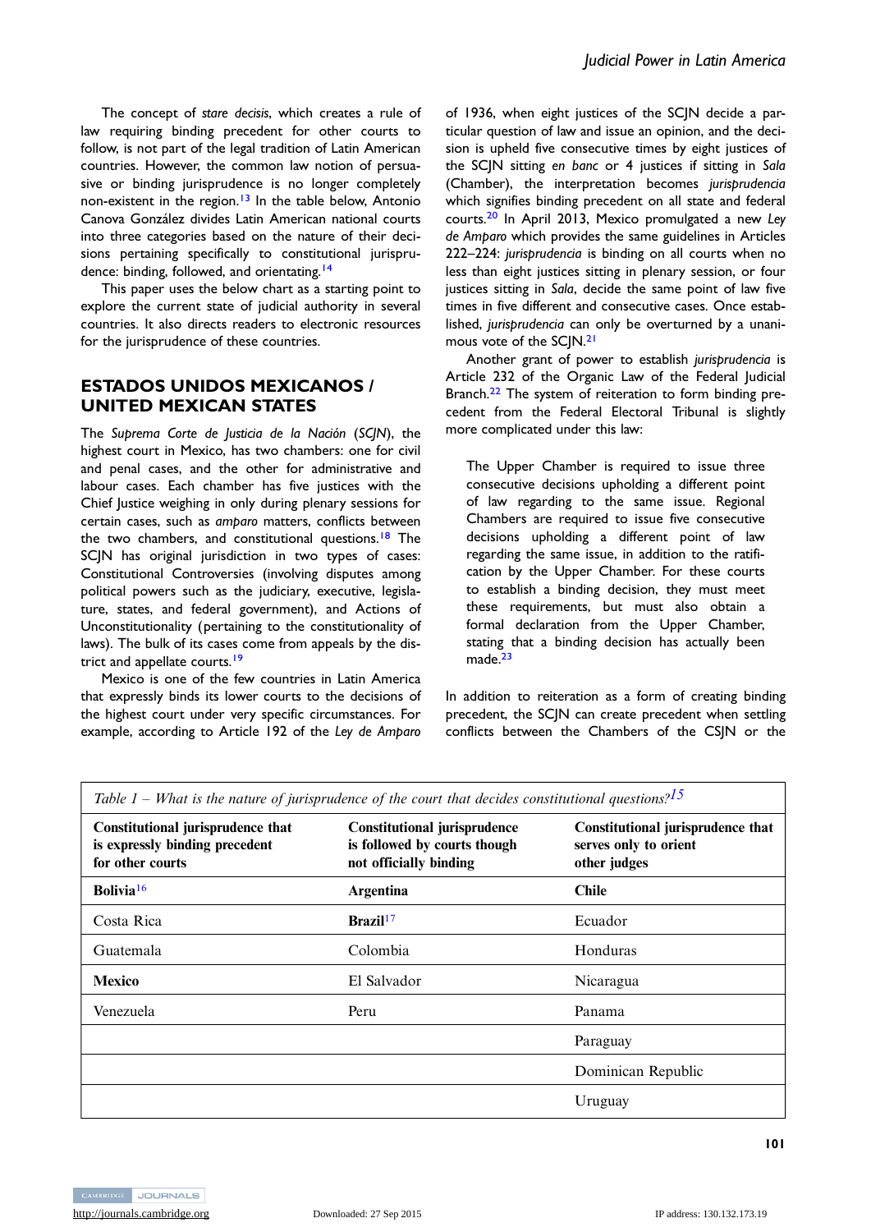The concept of stare decisis, which creates a rule of law requiring binding precedent for other courts to follow, is not part of the legal tradition of Latin American countries. However, the common law notion of persuasive or binding jurisprudence is no longer completely non-existent in the region.<sup>[13](#page-6-0)</sup> In the table below, Antonio Canova González divides Latin American national courts into three categories based on the nature of their decisions pertaining specifically to constitutional jurispru-dence: binding, followed, and orientating.<sup>[14](#page-7-0)</sup>

This paper uses the below chart as a starting point to explore the current state of judicial authority in several countries. It also directs readers to electronic resources for the jurisprudence of these countries.

#### ESTADOS UNIDOS MEXICANOS / UNITED MEXICAN STATES

The Suprema Corte de Justicia de la Nación (SCJN), the highest court in Mexico, has two chambers: one for civil and penal cases, and the other for administrative and labour cases. Each chamber has five justices with the Chief Justice weighing in only during plenary sessions for certain cases, such as amparo matters, conflicts between the two chambers, and constitutional questions.<sup>[18](#page-7-0)</sup> The SCJN has original jurisdiction in two types of cases: Constitutional Controversies (involving disputes among political powers such as the judiciary, executive, legislature, states, and federal government), and Actions of Unconstitutionality (pertaining to the constitutionality of laws). The bulk of its cases come from appeals by the dis-trict and appellate courts.<sup>[19](#page-7-0)</sup>

Mexico is one of the few countries in Latin America that expressly binds its lower courts to the decisions of the highest court under very specific circumstances. For example, according to Article 192 of the Ley de Amparo

of 1936, when eight justices of the SCJN decide a particular question of law and issue an opinion, and the decision is upheld five consecutive times by eight justices of the SCJN sitting en banc or 4 justices if sitting in Sala (Chamber), the interpretation becomes jurisprudencia which signifies binding precedent on all state and federal courts.[20](#page-7-0) In April 2013, Mexico promulgated a new Ley de Amparo which provides the same guidelines in Articles 222–224: jurisprudencia is binding on all courts when no less than eight justices sitting in plenary session, or four justices sitting in Sala, decide the same point of law five times in five different and consecutive cases. Once established, jurisprudencia can only be overturned by a unani-mous vote of the SCJN.<sup>[21](#page-7-0)</sup>

Another grant of power to establish jurisprudencia is Article 232 of the Organic Law of the Federal Judicial Branch.<sup>[22](#page-7-0)</sup> The system of reiteration to form binding precedent from the Federal Electoral Tribunal is slightly more complicated under this law:

The Upper Chamber is required to issue three consecutive decisions upholding a different point of law regarding to the same issue. Regional Chambers are required to issue five consecutive decisions upholding a different point of law regarding the same issue, in addition to the ratification by the Upper Chamber. For these courts to establish a binding decision, they must meet these requirements, but must also obtain a formal declaration from the Upper Chamber, stating that a binding decision has actually been made.<sup>[23](#page-7-0)</sup>

In addition to reiteration as a form of creating binding precedent, the SCJN can create precedent when settling conflicts between the Chambers of the CSJN or the

| Constitutional jurisprudence that<br>is expressly binding precedent<br>for other courts | <b>Constitutional jurisprudence</b><br>is followed by courts though<br>not officially binding | Constitutional jurisprudence that<br>serves only to orient<br>other judges |
|-----------------------------------------------------------------------------------------|-----------------------------------------------------------------------------------------------|----------------------------------------------------------------------------|
| Bolivia <sup>16</sup>                                                                   | <b>Argentina</b>                                                                              | <b>Chile</b>                                                               |
| Costa Rica                                                                              | Brazil <sup>17</sup>                                                                          | Ecuador                                                                    |
| Guatemala                                                                               | Colombia                                                                                      | Honduras                                                                   |
| <b>Mexico</b>                                                                           | El Salvador                                                                                   | Nicaragua                                                                  |
| Venezuela                                                                               | Peru                                                                                          | Panama                                                                     |
|                                                                                         |                                                                                               | Paraguay                                                                   |
|                                                                                         |                                                                                               | Dominican Republic                                                         |
|                                                                                         |                                                                                               | Uruguay                                                                    |

Table 1 – What is the nature of jurisprudence of the court that decides constitutional questions?

101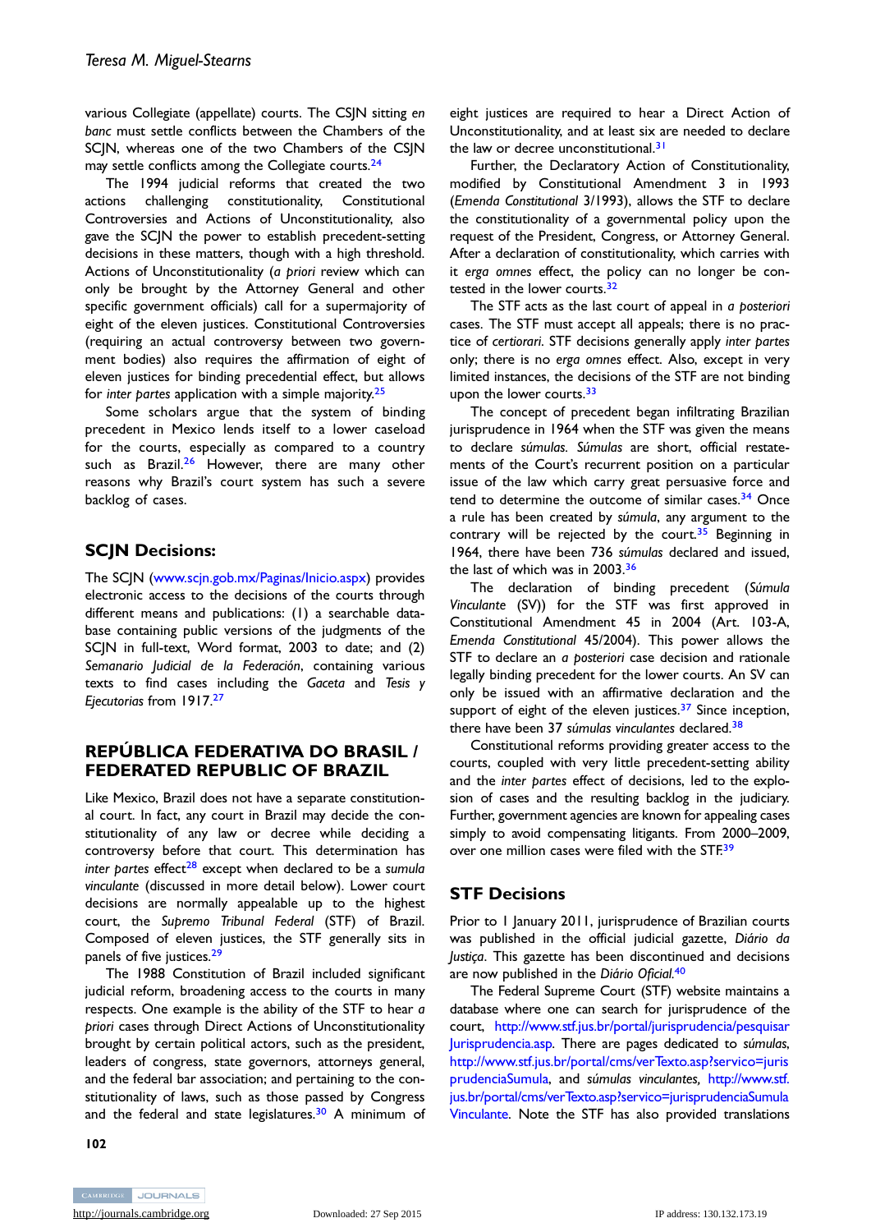various Collegiate (appellate) courts. The CSJN sitting en banc must settle conflicts between the Chambers of the SCJN, whereas one of the two Chambers of the CSJN may settle conflicts among the Collegiate courts.<sup>[24](#page-7-0)</sup>

The 1994 judicial reforms that created the two actions challenging constitutionality, Constitutional Controversies and Actions of Unconstitutionality, also gave the SCJN the power to establish precedent-setting decisions in these matters, though with a high threshold. Actions of Unconstitutionality (a priori review which can only be brought by the Attorney General and other specific government officials) call for a supermajority of eight of the eleven justices. Constitutional Controversies (requiring an actual controversy between two government bodies) also requires the affirmation of eight of eleven justices for binding precedential effect, but allows for inter partes application with a simple majority.<sup>25</sup>

Some scholars argue that the system of binding precedent in Mexico lends itself to a lower caseload for the courts, especially as compared to a country such as Brazil.<sup>[26](#page-7-0)</sup> However, there are many other reasons why Brazil's court system has such a severe backlog of cases.

## SCJN Decisions:

The SCJN ([www.scjn.gob.mx/Paginas/Inicio.aspx](https://www.scjn.gob.mx/Paginas/Inicio.aspx)) provides electronic access to the decisions of the courts through different means and publications: (1) a searchable database containing public versions of the judgments of the SCJN in full-text, Word format, 2003 to date; and (2) Semanario Judicial de la Federación, containing various texts to find cases including the Gaceta and Tesis y Ejecutorias from 1917.[27](#page-7-0)

#### REPÚBLICA FEDERATIVA DO BRASIL / FEDERATED REPUBLIC OF BRAZIL

Like Mexico, Brazil does not have a separate constitutional court. In fact, any court in Brazil may decide the constitutionality of any law or decree while deciding a controversy before that court. This determination has inter partes effect<sup>[28](#page-7-0)</sup> except when declared to be a sumula vinculante (discussed in more detail below). Lower court decisions are normally appealable up to the highest court, the Supremo Tribunal Federal (STF) of Brazil. Composed of eleven justices, the STF generally sits in panels of five justices.<sup>[29](#page-7-0)</sup>

The 1988 Constitution of Brazil included significant judicial reform, broadening access to the courts in many respects. One example is the ability of the STF to hear a priori cases through Direct Actions of Unconstitutionality brought by certain political actors, such as the president, leaders of congress, state governors, attorneys general, and the federal bar association; and pertaining to the constitutionality of laws, such as those passed by Congress and the federal and state legislatures.<sup>[30](#page-7-0)</sup> A minimum of

102

eight justices are required to hear a Direct Action of Unconstitutionality, and at least six are needed to declare the law or decree unconstitutional.<sup>[31](#page-7-0)</sup>

Further, the Declaratory Action of Constitutionality, modified by Constitutional Amendment 3 in 1993 (Emenda Constitutional 3/1993), allows the STF to declare the constitutionality of a governmental policy upon the request of the President, Congress, or Attorney General. After a declaration of constitutionality, which carries with it erga omnes effect, the policy can no longer be con-tested in the lower courts.<sup>[32](#page-7-0)</sup>

The STF acts as the last court of appeal in a posteriori cases. The STF must accept all appeals; there is no practice of certiorari. STF decisions generally apply inter partes only; there is no erga omnes effect. Also, except in very limited instances, the decisions of the STF are not binding upon the lower courts.<sup>[33](#page-7-0)</sup>

The concept of precedent began infiltrating Brazilian jurisprudence in 1964 when the STF was given the means to declare súmulas. Súmulas are short, official restatements of the Court's recurrent position on a particular issue of the law which carry great persuasive force and tend to determine the outcome of similar cases. $34$  Once a rule has been created by súmula, any argument to the contrary will be rejected by the court.<sup>[35](#page-7-0)</sup> Beginning in 1964, there have been 736 súmulas declared and issued, the last of which was in 2003.<sup>[36](#page-7-0)</sup>

The declaration of binding precedent (Súmula Vinculante (SV)) for the STF was first approved in Constitutional Amendment 45 in 2004 (Art. 103-A, Emenda Constitutional 45/2004). This power allows the STF to declare an a posteriori case decision and rationale legally binding precedent for the lower courts. An SV can only be issued with an affirmative declaration and the support of eight of the eleven justices. $37$  Since inception, there have been 37 súmulas vinculantes declared.<sup>[38](#page-7-0)</sup>

Constitutional reforms providing greater access to the courts, coupled with very little precedent-setting ability and the inter partes effect of decisions, led to the explosion of cases and the resulting backlog in the judiciary. Further, government agencies are known for appealing cases simply to avoid compensating litigants. From 2000–2009, over one million cases were filed with the STF.<sup>[39](#page-7-0)</sup>

#### **STF Decisions**

Prior to 1 January 2011, jurisprudence of Brazilian courts was published in the official judicial gazette, Diário da Justiça. This gazette has been discontinued and decisions are now published in the Diário Oficial.<sup>[40](#page-7-0)</sup>

The Federal Supreme Court (STF) website maintains a database where one can search for jurisprudence of the court, [http://www.stf.jus.br/portal/jurisprudencia/pesquisar](http://www.stf.jus.br/portal/jurisprudencia/pesquisarJurisprudencia.asp) [Jurisprudencia.asp.](http://www.stf.jus.br/portal/jurisprudencia/pesquisarJurisprudencia.asp) There are pages dedicated to súmulas, [http://www.stf.jus.br/portal/cms/verTexto.asp?servico=juris](http://www.stf.jus.br/portal/cms/verTexto.asp?servico=jurisprudenciaSumula) [prudenciaSumula,](http://www.stf.jus.br/portal/cms/verTexto.asp?servico=jurisprudenciaSumula) and súmulas vinculantes, [http://www.stf.](http://www.stf.jus.br/portal/cms/verTexto.asp?servico=jurisprudenciaSumulaVinculante) [jus.br/portal/cms/verTexto.asp?servico=jurisprudenciaSumula](http://www.stf.jus.br/portal/cms/verTexto.asp?servico=jurisprudenciaSumulaVinculante) [Vinculante](http://www.stf.jus.br/portal/cms/verTexto.asp?servico=jurisprudenciaSumulaVinculante). Note the STF has also provided translations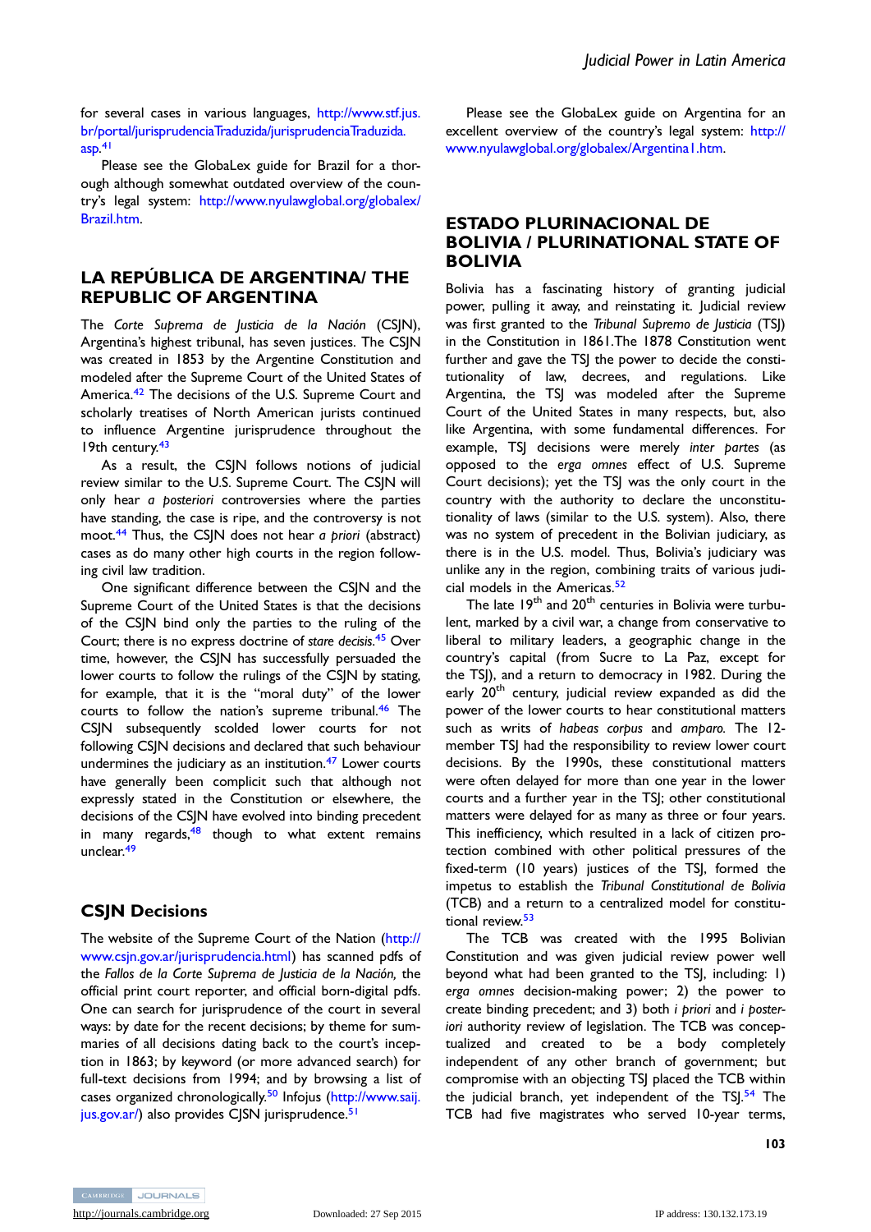for several cases in various languages, [http://www.stf.jus.](http://www.stf.jus.br/portal/jurisprudenciaTraduzida/jurisprudenciaTraduzida.asp) [br/portal/jurisprudenciaTraduzida/jurisprudenciaTraduzida.](http://www.stf.jus.br/portal/jurisprudenciaTraduzida/jurisprudenciaTraduzida.asp) [asp.](http://www.stf.jus.br/portal/jurisprudenciaTraduzida/jurisprudenciaTraduzida.asp) [41](#page-7-0)

Please see the GlobaLex guide for Brazil for a thorough although somewhat outdated overview of the country's legal system: [http://www.nyulawglobal.org/globalex/](http://www.nyulawglobal.org/globalex/Brazil.htm) [Brazil.htm.](http://www.nyulawglobal.org/globalex/Brazil.htm)

#### LA REPÚBLICA DE ARGENTINA/ THE REPUBLIC OF ARGENTINA

The Corte Suprema de Justicia de la Nación (CSJN), Argentina's highest tribunal, has seven justices. The CSJN was created in 1853 by the Argentine Constitution and modeled after the Supreme Court of the United States of America.[42](#page-7-0) The decisions of the U.S. Supreme Court and scholarly treatises of North American jurists continued to influence Argentine jurisprudence throughout the 19th century.<sup>[43](#page-7-0)</sup>

As a result, the CSJN follows notions of judicial review similar to the U.S. Supreme Court. The CSJN will only hear a posteriori controversies where the parties have standing, the case is ripe, and the controversy is not moot.<sup>[44](#page-7-0)</sup> Thus, the CSJN does not hear a priori (abstract) cases as do many other high courts in the region following civil law tradition.

One significant difference between the CSJN and the Supreme Court of the United States is that the decisions of the CSJN bind only the parties to the ruling of the Court; there is no express doctrine of stare decisis.<sup>[45](#page-7-0)</sup> Over time, however, the CSJN has successfully persuaded the lower courts to follow the rulings of the CSJN by stating, for example, that it is the "moral duty" of the lower courts to follow the nation's supreme tribunal.<sup>[46](#page-7-0)</sup> The CSJN subsequently scolded lower courts for not following CSJN decisions and declared that such behaviour undermines the judiciary as an institution.<sup>47</sup> Lower courts have generally been complicit such that although not expressly stated in the Constitution or elsewhere, the decisions of the CSJN have evolved into binding precedent in many regards, $48$  though to what extent remains unclear.<sup>[49](#page-8-0)</sup>

#### CSJN Decisions

The website of the Supreme Court of the Nation ([http://](http://www.csjn.gov.ar/jurisprudencia.html) [www.csjn.gov.ar/jurisprudencia.html](http://www.csjn.gov.ar/jurisprudencia.html)) has scanned pdfs of the Fallos de la Corte Suprema de Justicia de la Nación, the official print court reporter, and official born-digital pdfs. One can search for jurisprudence of the court in several ways: by date for the recent decisions; by theme for summaries of all decisions dating back to the court's inception in 1863; by keyword (or more advanced search) for full-text decisions from 1994; and by browsing a list of cases organized chronologically.[50](#page-8-0) Infojus [\(http://www.saij.](http://www.saij.jus.gov.ar/) [jus.gov.ar/\)](http://www.saij.jus.gov.ar/) also provides CJSN jurisprudence.<sup>51</sup>

Please see the GlobaLex guide on Argentina for an excellent overview of the country's legal system: [http://](http://www.nyulawglobal.org/globalex/Argentina1.htm) [www.nyulawglobal.org/globalex/Argentina1.htm](http://www.nyulawglobal.org/globalex/Argentina1.htm).

### ESTADO PLURINACIONAL DE BOLIVIA / PLURINATIONAL STATE OF BOLIVIA

Bolivia has a fascinating history of granting judicial power, pulling it away, and reinstating it. Judicial review was first granted to the Tribunal Supremo de Justicia (TSJ) in the Constitution in 1861.The 1878 Constitution went further and gave the TSJ the power to decide the constitutionality of law, decrees, and regulations. Like Argentina, the TSJ was modeled after the Supreme Court of the United States in many respects, but, also like Argentina, with some fundamental differences. For example, TSJ decisions were merely inter partes (as opposed to the erga omnes effect of U.S. Supreme Court decisions); yet the TSJ was the only court in the country with the authority to declare the unconstitutionality of laws (similar to the U.S. system). Also, there was no system of precedent in the Bolivian judiciary, as there is in the U.S. model. Thus, Bolivia's judiciary was unlike any in the region, combining traits of various judi-cial models in the Americas.<sup>[52](#page-8-0)</sup>

The late 19<sup>th</sup> and 20<sup>th</sup> centuries in Bolivia were turbulent, marked by a civil war, a change from conservative to liberal to military leaders, a geographic change in the country's capital (from Sucre to La Paz, except for the TSJ), and a return to democracy in 1982. During the early 20<sup>th</sup> century, judicial review expanded as did the power of the lower courts to hear constitutional matters such as writs of habeas corpus and amparo. The 12 member TSJ had the responsibility to review lower court decisions. By the 1990s, these constitutional matters were often delayed for more than one year in the lower courts and a further year in the TSJ; other constitutional matters were delayed for as many as three or four years. This inefficiency, which resulted in a lack of citizen protection combined with other political pressures of the fixed-term (10 years) justices of the TSJ, formed the impetus to establish the Tribunal Constitutional de Bolivia (TCB) and a return to a centralized model for constitu-tional review.<sup>[53](#page-8-0)</sup>

The TCB was created with the 1995 Bolivian Constitution and was given judicial review power well beyond what had been granted to the TSJ, including: 1) erga omnes decision-making power; 2) the power to create binding precedent; and 3) both i priori and i posteriori authority review of legislation. The TCB was conceptualized and created to be a body completely independent of any other branch of government; but compromise with an objecting TSJ placed the TCB within the judicial branch, yet independent of the TS $1.54$  $1.54$  The TCB had five magistrates who served 10-year terms,

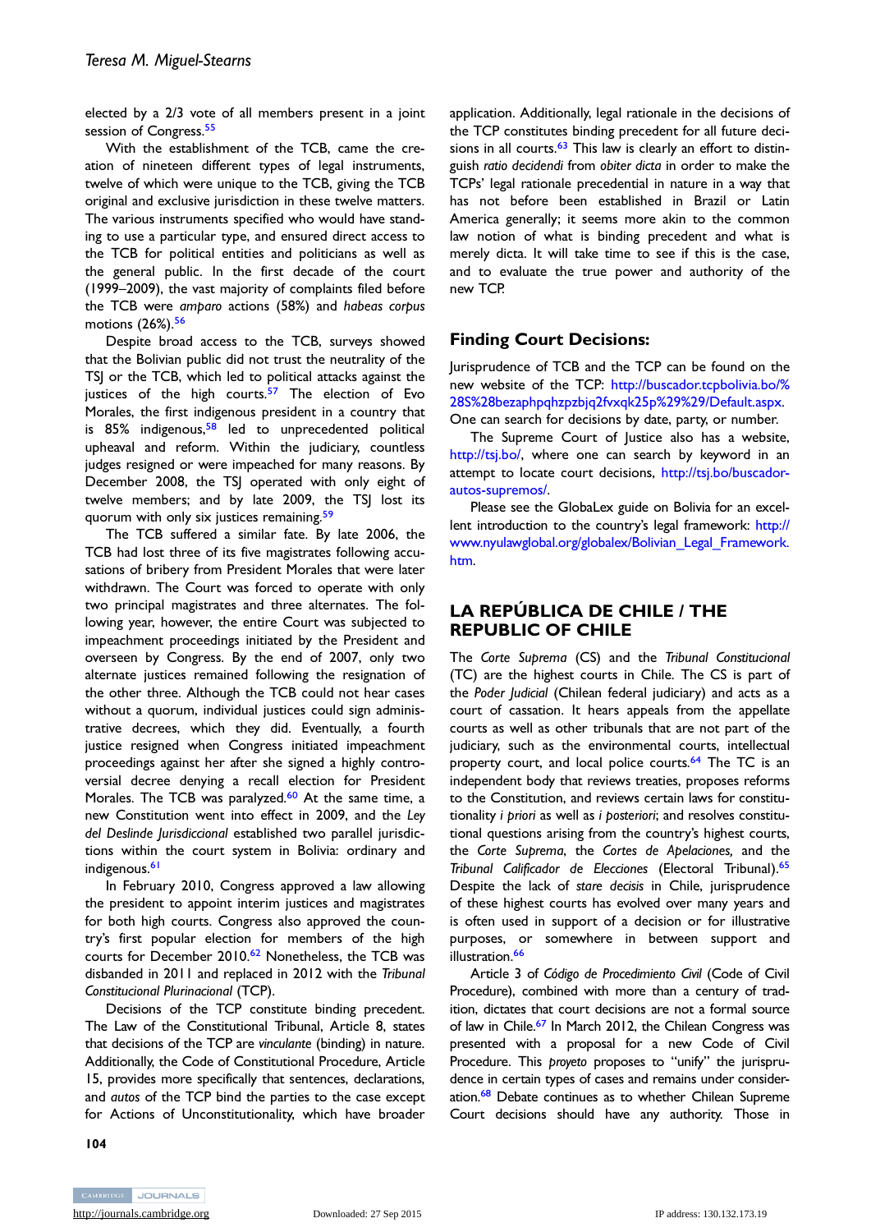elected by a 2/3 vote of all members present in a joint session of Congress.<sup>[55](#page-8-0)</sup>

With the establishment of the TCB, came the creation of nineteen different types of legal instruments, twelve of which were unique to the TCB, giving the TCB original and exclusive jurisdiction in these twelve matters. The various instruments specified who would have standing to use a particular type, and ensured direct access to the TCB for political entities and politicians as well as the general public. In the first decade of the court (1999–2009), the vast majority of complaints filed before the TCB were amparo actions (58%) and habeas corpus motions (26%).<sup>56</sup>

Despite broad access to the TCB, surveys showed that the Bolivian public did not trust the neutrality of the TSJ or the TCB, which led to political attacks against the justices of the high courts.<sup>[57](#page-8-0)</sup> The election of Evo Morales, the first indigenous president in a country that is 85% indigenous,<sup>[58](#page-8-0)</sup> led to unprecedented political upheaval and reform. Within the judiciary, countless judges resigned or were impeached for many reasons. By December 2008, the TSJ operated with only eight of twelve members; and by late 2009, the TSJ lost its quorum with only six justices remaining.<sup>[59](#page-8-0)</sup>

The TCB suffered a similar fate. By late 2006, the TCB had lost three of its five magistrates following accusations of bribery from President Morales that were later withdrawn. The Court was forced to operate with only two principal magistrates and three alternates. The following year, however, the entire Court was subjected to impeachment proceedings initiated by the President and overseen by Congress. By the end of 2007, only two alternate justices remained following the resignation of the other three. Although the TCB could not hear cases without a quorum, individual justices could sign administrative decrees, which they did. Eventually, a fourth justice resigned when Congress initiated impeachment proceedings against her after she signed a highly controversial decree denying a recall election for President Morales. The TCB was paralyzed.<sup>[60](#page-8-0)</sup> At the same time, a new Constitution went into effect in 2009, and the Ley del Deslinde Jurisdiccional established two parallel jurisdictions within the court system in Bolivia: ordinary and indigenous.<sup>[61](#page-8-0)</sup>

In February 2010, Congress approved a law allowing the president to appoint interim justices and magistrates for both high courts. Congress also approved the country's first popular election for members of the high courts for December 2010.<sup>[62](#page-8-0)</sup> Nonetheless, the TCB was disbanded in 2011 and replaced in 2012 with the Tribunal Constitucional Plurinacional (TCP).

Decisions of the TCP constitute binding precedent. The Law of the Constitutional Tribunal, Article 8, states that decisions of the TCP are vinculante (binding) in nature. Additionally, the Code of Constitutional Procedure, Article 15, provides more specifically that sentences, declarations, and autos of the TCP bind the parties to the case except for Actions of Unconstitutionality, which have broader application. Additionally, legal rationale in the decisions of the TCP constitutes binding precedent for all future decisions in all courts. $63$  This law is clearly an effort to distinguish ratio decidendi from obiter dicta in order to make the TCPs' legal rationale precedential in nature in a way that has not before been established in Brazil or Latin America generally; it seems more akin to the common law notion of what is binding precedent and what is merely dicta. It will take time to see if this is the case, and to evaluate the true power and authority of the new TCP.

#### Finding Court Decisions:

Jurisprudence of TCB and the TCP can be found on the new website of the TCP: [http://buscador.tcpbolivia.bo/%](http://buscador.tcpbolivia.bo/%28S%28bezaphpqhzpzbjq2fvxqk25p%29%29/Default.aspx) [28S%28bezaphpqhzpzbjq2fvxqk25p%29%29/Default.aspx](http://buscador.tcpbolivia.bo/%28S%28bezaphpqhzpzbjq2fvxqk25p%29%29/Default.aspx). One can search for decisions by date, party, or number.

The Supreme Court of Justice also has a website, <http://tsj.bo/>, where one can search by keyword in an attempt to locate court decisions, [http://tsj.bo/buscador](http://tsj.bo/buscador-autos-supremos/)[autos-supremos/](http://tsj.bo/buscador-autos-supremos/).

Please see the GlobaLex guide on Bolivia for an excellent introduction to the country's legal framework: [http://](http://www.nyulawglobal.org/globalex/Bolivian_Legal_Framework.htm) [www.nyulawglobal.org/globalex/Bolivian\\_Legal\\_Framework.](http://www.nyulawglobal.org/globalex/Bolivian_Legal_Framework.htm) [htm](http://www.nyulawglobal.org/globalex/Bolivian_Legal_Framework.htm).

## LA REPÚBLICA DE CHILE / THE REPUBLIC OF CHILE

The Corte Suprema (CS) and the Tribunal Constitucional (TC) are the highest courts in Chile. The CS is part of the Poder Judicial (Chilean federal judiciary) and acts as a court of cassation. It hears appeals from the appellate courts as well as other tribunals that are not part of the judiciary, such as the environmental courts, intellectual property court, and local police courts.<sup>[64](#page-8-0)</sup> The TC is an independent body that reviews treaties, proposes reforms to the Constitution, and reviews certain laws for constitutionality i priori as well as i posteriori; and resolves constitutional questions arising from the country's highest courts, the Corte Suprema, the Cortes de Apelaciones, and the Tribunal Calificador de Elecciones (Electoral Tribunal).<sup>[65](#page-8-0)</sup> Despite the lack of stare decisis in Chile, jurisprudence of these highest courts has evolved over many years and is often used in support of a decision or for illustrative purposes, or somewhere in between support and illustration.<sup>66</sup>

Article 3 of Código de Procedimiento Civil (Code of Civil Procedure), combined with more than a century of tradition, dictates that court decisions are not a formal source of law in Chile.<sup>67</sup> In March 2012, the Chilean Congress was presented with a proposal for a new Code of Civil Procedure. This proyeto proposes to "unify" the jurisprudence in certain types of cases and remains under consideration.<sup>68</sup> Debate continues as to whether Chilean Supreme Court decisions should have any authority. Those in

104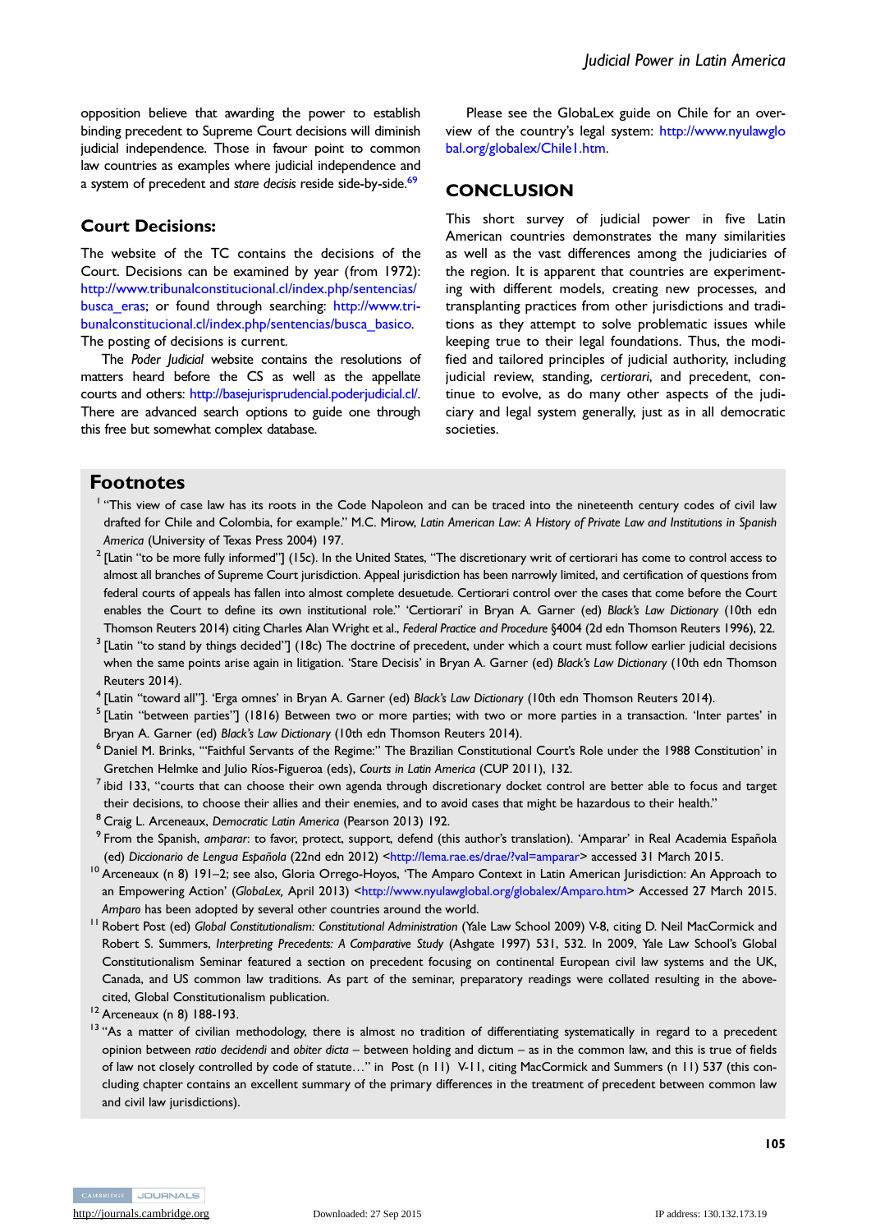<span id="page-6-0"></span>opposition believe that awarding the power to establish binding precedent to Supreme Court decisions will diminish judicial independence. Those in favour point to common law countries as examples where judicial independence and a system of precedent and stare decisis reside side-by-side.<sup>69</sup>

#### Court Decisions:

The website of the TC contains the decisions of the Court. Decisions can be examined by year (from 1972): [http://www.tribunalconstitucional.cl/index.php/sentencias/](http://www.tribunalconstitucional.cl/index.php/sentencias/busca_eras) [busca\\_eras](http://www.tribunalconstitucional.cl/index.php/sentencias/busca_eras); or found through searching: [http://www.tri](http://www.tribunalconstitucional.cl/index.php/sentencias/busca_basico)[bunalconstitucional.cl/index.php/sentencias/busca\\_basico](http://www.tribunalconstitucional.cl/index.php/sentencias/busca_basico). The posting of decisions is current.

The Poder Judicial website contains the resolutions of matters heard before the CS as well as the appellate courts and others: [http://basejurisprudencial.poderjudicial.cl/.](http://basejurisprudencial.poderjudicial.cl/) There are advanced search options to guide one through this free but somewhat complex database.

Please see the GlobaLex guide on Chile for an overview of the country's legal system: [http://www.nyulawglo](http://www.nyulawglobal.org/globalex/Chile1.htm) [bal.org/globalex/Chile1.htm](http://www.nyulawglobal.org/globalex/Chile1.htm).

#### **CONCLUSION**

This short survey of judicial power in five Latin American countries demonstrates the many similarities as well as the vast differences among the judiciaries of the region. It is apparent that countries are experimenting with different models, creating new processes, and transplanting practices from other jurisdictions and traditions as they attempt to solve problematic issues while keeping true to their legal foundations. Thus, the modified and tailored principles of judicial authority, including judicial review, standing, certiorari, and precedent, continue to evolve, as do many other aspects of the judiciary and legal system generally, just as in all democratic societies.

#### Footnotes

- <sup>1</sup> "This view of case law has its roots in the Code Napoleon and can be traced into the nineteenth century codes of civil law drafted for Chile and Colombia, for example." M.C. Mirow, Latin American Law: A History of Private Law and Institutions in Spanish America (University of Texas Press 2004) 197.
- $2$  [Latin "to be more fully informed"] (15c). In the United States, "The discretionary writ of certiorari has come to control access to almost all branches of Supreme Court jurisdiction. Appeal jurisdiction has been narrowly limited, and certification of questions from federal courts of appeals has fallen into almost complete desuetude. Certiorari control over the cases that come before the Court enables the Court to define its own institutional role." 'Certiorari' in Bryan A. Garner (ed) Black's Law Dictionary (10th edn Thomson Reuters 2014) citing Charles Alan Wright et al., Federal Practice and Procedure §4004 (2d edn Thomson Reuters 1996), 22.
- $3$  [Latin "to stand by things decided"] (18c) The doctrine of precedent, under which a court must follow earlier judicial decisions when the same points arise again in litigation. 'Stare Decisis' in Bryan A. Garner (ed) Black's Law Dictionary (10th edn Thomson Reuters 2014).
- <sup>4</sup> [Latin "toward all"]. 'Erga omnes' in Bryan A. Garner (ed) Black's Law Dictionary (10th edn Thomson Reuters 2014).
- $<sup>5</sup>$  [Latin "between parties"] (1816) Between two or more parties; with two or more parties in a transaction. 'Inter partes' in</sup> Bryan A. Garner (ed) Black's Law Dictionary (10th edn Thomson Reuters 2014).
- <sup>6</sup> Daniel M. Brinks, '"Faithful Servants of the Regime:" The Brazilian Constitutional Court's Role under the 1988 Constitution' in Gretchen Helmke and Julio Ríos-Figueroa (eds), Courts in Latin America (CUP 2011), 132.
- $<sup>7</sup>$ ibid 133, "courts that can choose their own agenda through discretionary docket control are better able to focus and target</sup> their decisions, to choose their allies and their enemies, and to avoid cases that might be hazardous to their health."
- <sup>8</sup> Craig L. Arceneaux, Democratic Latin America (Pearson 2013) 192.
- <sup>9</sup> From the Spanish, amparar: to favor, protect, support, defend (this author's translation). 'Amparar' in Real Academia Española (ed) Diccionario de Lengua Española (22nd edn 2012) <<http://lema.rae.es/drae/?val=amparar>> accessed 31 March 2015.
- <sup>10</sup> Arceneaux (n 8) 191–2; see also, Gloria Orrego-Hoyos, 'The Amparo Context in Latin American Jurisdiction: An Approach to an Empowering Action' (GlobaLex, April 2013) [<http://www.nyulawglobal.org/globalex/Amparo.htm>](http://www.nyulawglobal.org/globalex/Amparo.htm) Accessed 27 March 2015. Amparo has been adopted by several other countries around the world.
- <sup>11</sup> Robert Post (ed) Global Constitutionalism: Constitutional Administration (Yale Law School 2009) V-8, citing D. Neil MacCormick and Robert S. Summers, Interpreting Precedents: A Comparative Study (Ashgate 1997) 531, 532. In 2009, Yale Law School's Global Constitutionalism Seminar featured a section on precedent focusing on continental European civil law systems and the UK, Canada, and US common law traditions. As part of the seminar, preparatory readings were collated resulting in the abovecited, Global Constitutionalism publication.

<sup>13</sup> "As a matter of civilian methodology, there is almost no tradition of differentiating systematically in regard to a precedent opinion between ratio decidendi and obiter dicta – between holding and dictum – as in the common law, and this is true of fields of law not closely controlled by code of statute…" in Post (n 11) V-11, citing MacCormick and Summers (n 11) 537 (this concluding chapter contains an excellent summary of the primary differences in the treatment of precedent between common law and civil law jurisdictions).

<sup>12</sup> Arceneaux (n 8) 188-193.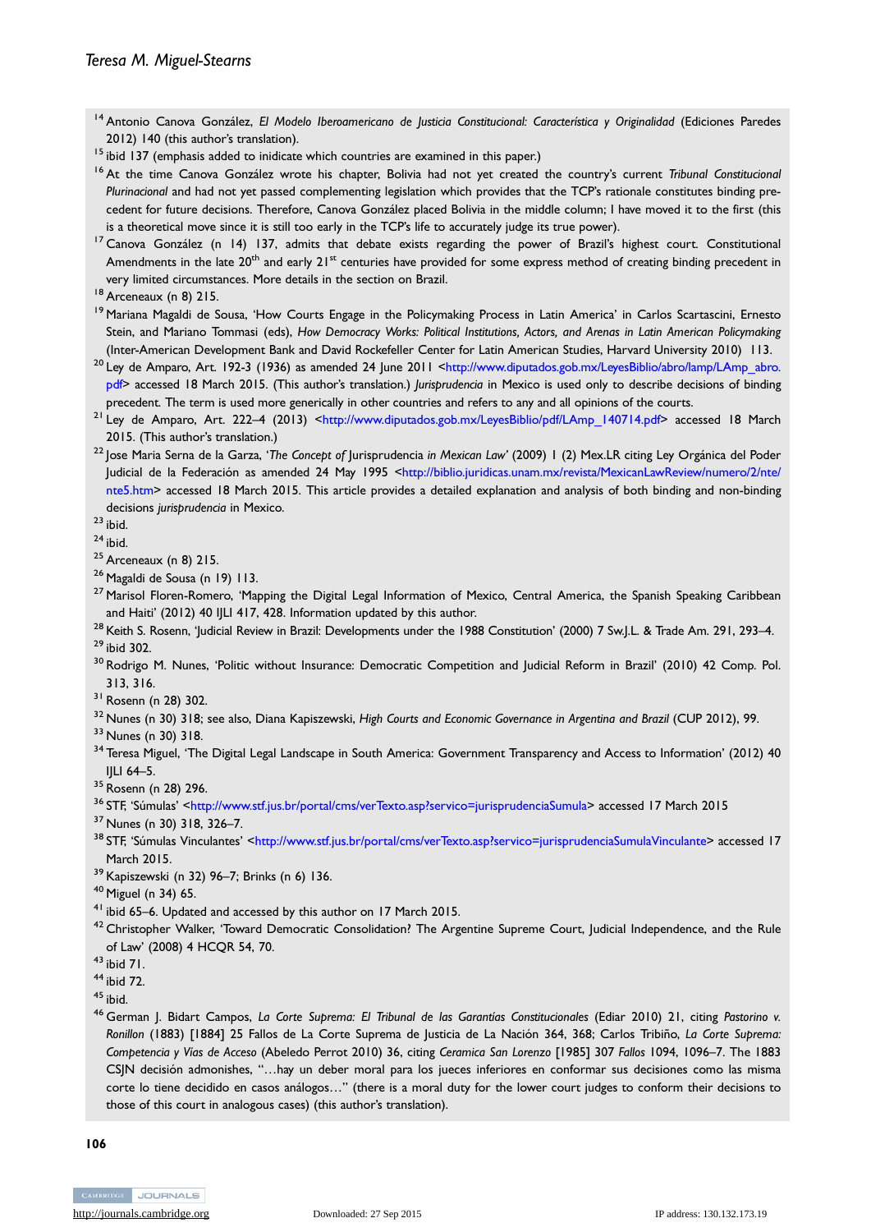- <span id="page-7-0"></span><sup>14</sup> Antonio Canova González, El Modelo Iberoamericano de Justicia Constitucional: Característica y Originalidad (Ediciones Paredes 2012) 140 (this author's translation).
- <sup>15</sup> ibid 137 (emphasis added to inidicate which countries are examined in this paper.)
- <sup>16</sup> At the time Canova González wrote his chapter, Bolivia had not yet created the country's current Tribunal Constitucional Plurinacional and had not yet passed complementing legislation which provides that the TCP's rationale constitutes binding precedent for future decisions. Therefore, Canova González placed Bolivia in the middle column; I have moved it to the first (this is a theoretical move since it is still too early in the TCP's life to accurately judge its true power).
- <sup>17</sup> Canova González (n 14) 137, admits that debate exists regarding the power of Brazil's highest court. Constitutional Amendments in the late  $20^{th}$  and early  $21^{st}$  centuries have provided for some express method of creating binding precedent in very limited circumstances. More details in the section on Brazil.

- <sup>19</sup> Mariana Magaldi de Sousa, 'How Courts Engage in the Policymaking Process in Latin America' in Carlos Scartascini, Ernesto Stein, and Mariano Tommasi (eds), How Democracy Works: Political Institutions, Actors, and Arenas in Latin American Policymaking (Inter-American Development Bank and David Rockefeller Center for Latin American Studies, Harvard University 2010) 113.
- <sup>20</sup> Ley de Amparo, Art. 192-3 (1936) as amended 24 June 2011 <[http://www.diputados.gob.mx/LeyesBiblio/abro/lamp/LAmp\\_abro.](http://www.diputados.gob.mx/LeyesBiblio/abro/lamp/LAmp_abro.pdf) [pdf>](http://www.diputados.gob.mx/LeyesBiblio/abro/lamp/LAmp_abro.pdf) accessed 18 March 2015. (This author's translation.) Jurisprudencia in Mexico is used only to describe decisions of binding precedent. The term is used more generically in other countries and refers to any and all opinions of the courts.
- <sup>21</sup> Ley de Amparo, Art. 222–4 (2013) [<http://www.diputados.gob.mx/LeyesBiblio/pdf/LAmp\\_140714.pdf](http://www.diputados.gob.mx/LeyesBiblio/pdf/LAmp_140714.pdf)> accessed 18 March 2015. (This author's translation.)
- <sup>22</sup> Jose Maria Serna de la Garza, 'The Concept of Jurisprudencia in Mexican Law' (2009) 1 (2) Mex.LR citing Ley Orgánica del Poder Judicial de la Federación as amended 24 May 1995 <[http://biblio.juridicas.unam.mx/revista/MexicanLawReview/numero/2/nte/](http://biblio.juridicas.unam.mx/revista/MexicanLawReview/numero/2/nte/nte5.htm) [nte5.htm](http://biblio.juridicas.unam.mx/revista/MexicanLawReview/numero/2/nte/nte5.htm)> accessed 18 March 2015. This article provides a detailed explanation and analysis of both binding and non-binding decisions jurisprudencia in Mexico.

 $23$  ibid.

 $24$  ibid.

- $25$  Arceneaux (n 8) 215.
- <sup>26</sup> Magaldi de Sousa (n 19) 113.
- <sup>27</sup> Marisol Floren-Romero, 'Mapping the Digital Legal Information of Mexico, Central America, the Spanish Speaking Caribbean and Haiti' (2012) 40 IJLI 417, 428. Information updated by this author.
- <sup>28</sup> Keith S. Rosenn, 'Judicial Review in Brazil: Developments under the 1988 Constitution' (2000) 7 Sw.J.L. & Trade Am. 291, 293-4. <sup>29</sup> ibid 302.
- <sup>30</sup> Rodrigo M. Nunes, 'Politic without Insurance: Democratic Competition and Judicial Reform in Brazil' (2010) 42 Comp. Pol. 313, 316.
- <sup>31</sup> Rosenn (n 28) 302.
- <sup>32</sup> Nunes (n 30) 318; see also, Diana Kapiszewski, High Courts and Economic Governance in Argentina and Brazil (CUP 2012), 99.
- <sup>33</sup> Nunes (n 30) 318.
- <sup>34</sup> Teresa Miguel, 'The Digital Legal Landscape in South America: Government Transparency and Access to Information' (2012) 40 IJLI 64–5.
- <sup>35</sup> Rosenn (n 28) 296.
- <sup>36</sup> STF, 'Súmulas' [<http://www.stf.jus.br/portal/cms/verTexto.asp?servico=jurisprudenciaSumula](http://www.stf.jus.br/portal/cms/verTexto.asp?servico=jurisprudenciaSumula)> accessed 17 March 2015
- <sup>37</sup> Nunes (n 30) 318, 326–7.
- 38 STF, 'Súmulas Vinculantes' [<http://www.stf.jus.br/portal/cms/verTexto.asp?servico=jurisprudenciaSumulaVinculante>](http://www.stf.jus.br/portal/cms/verTexto.asp?servico=jurisprudenciaSumulaVinculante) accessed 17 March 2015.
- <sup>39</sup> Kapiszewski (n 32) 96–7; Brinks (n 6) 136.
- <sup>40</sup> Miguel (n 34) 65.
- <sup>41</sup> ibid 65–6. Updated and accessed by this author on 17 March 2015.
- <sup>42</sup> Christopher Walker, 'Toward Democratic Consolidation? The Argentine Supreme Court, Judicial Independence, and the Rule of Law' (2008) 4 HCQR 54, 70.
- <sup>43</sup> ibid 71.
- <sup>44</sup> ibid 72.
- $45$  ibid.
- 46 German J. Bidart Campos, La Corte Suprema: El Tribunal de las Garantías Constitucionales (Ediar 2010) 21, citing Pastorino v. Ronillon (1883) [1884] 25 Fallos de La Corte Suprema de Justicia de La Nación 364, 368; Carlos Tribiño, La Corte Suprema: Competencia y Vías de Acceso (Abeledo Perrot 2010) 36, citing Ceramica San Lorenzo [1985] 307 Fallos 1094, 1096–7. The 1883 CSJN decisión admonishes, "…hay un deber moral para los jueces inferiores en conformar sus decisiones como las misma corte lo tiene decidido en casos análogos…" (there is a moral duty for the lower court judges to conform their decisions to those of this court in analogous cases) (this author's translation).

106

<sup>18</sup> Arceneaux (n 8) 215.